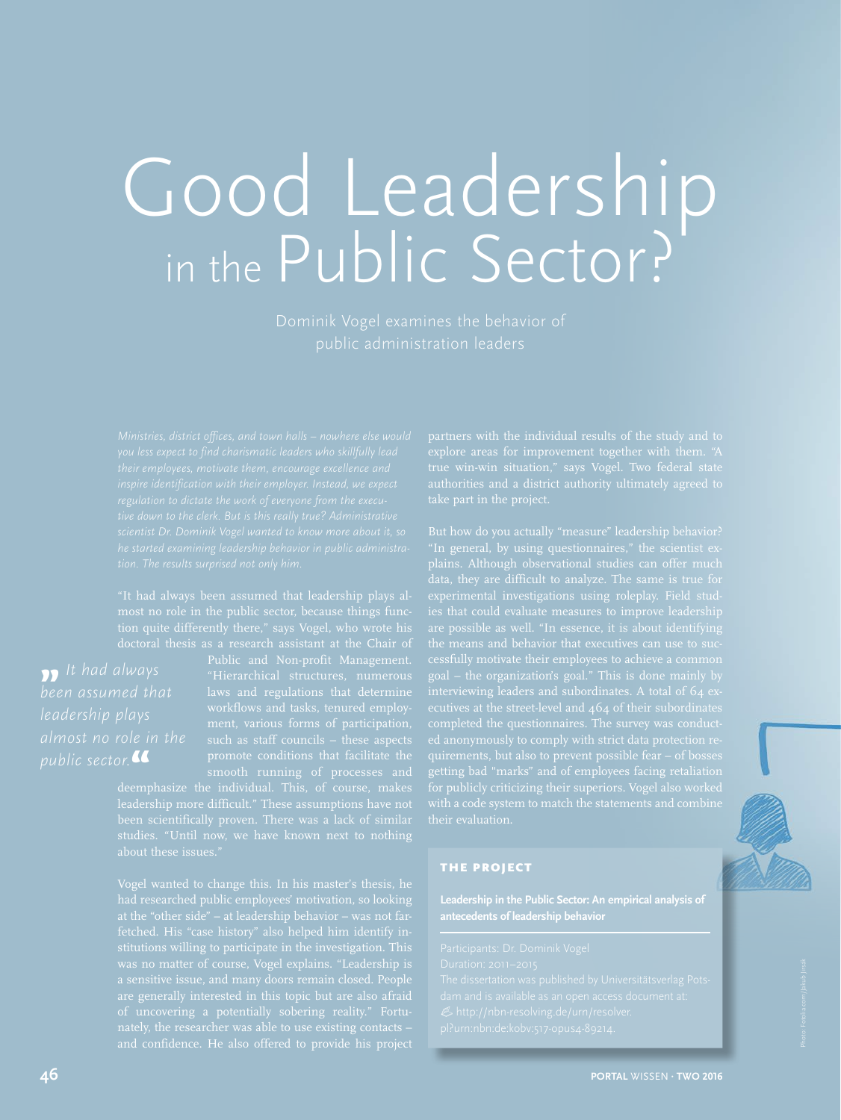## Good Leadership in the Public Sector?

"It had always been assumed that leadership plays al-

" *It had always*  public sector.

"Hierarchical structures, numerous

been scientifically proven. There was a lack of similar

had researched public employees' motivation, so looking nately, the researcher was able to use existing contacts –

data, they are difficult to analyze. The same is true for interviewing leaders and subordinates. A total of  $64 \text{ ex}$ for publicly criticizing their superiors. Vogel also worked

## THE PROJECT

**Leadership in the Public Sector: An empirical analysis of antecedents of leadership behavior**

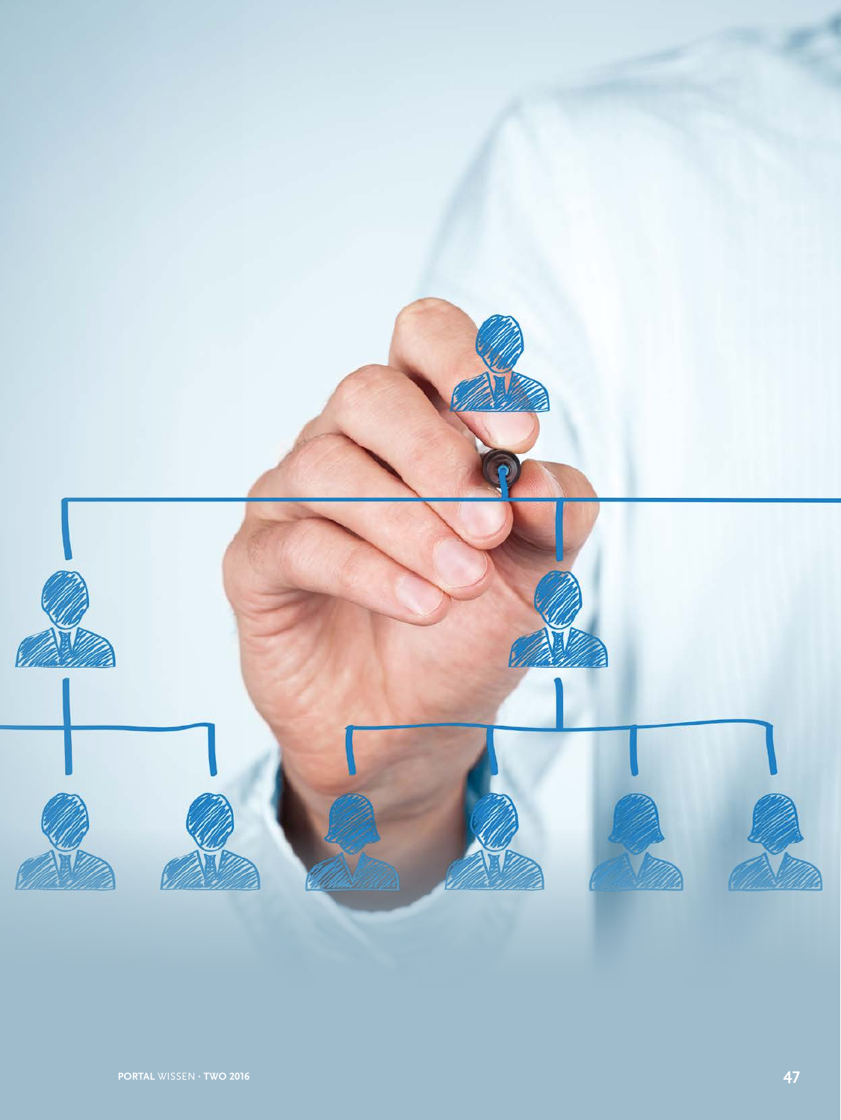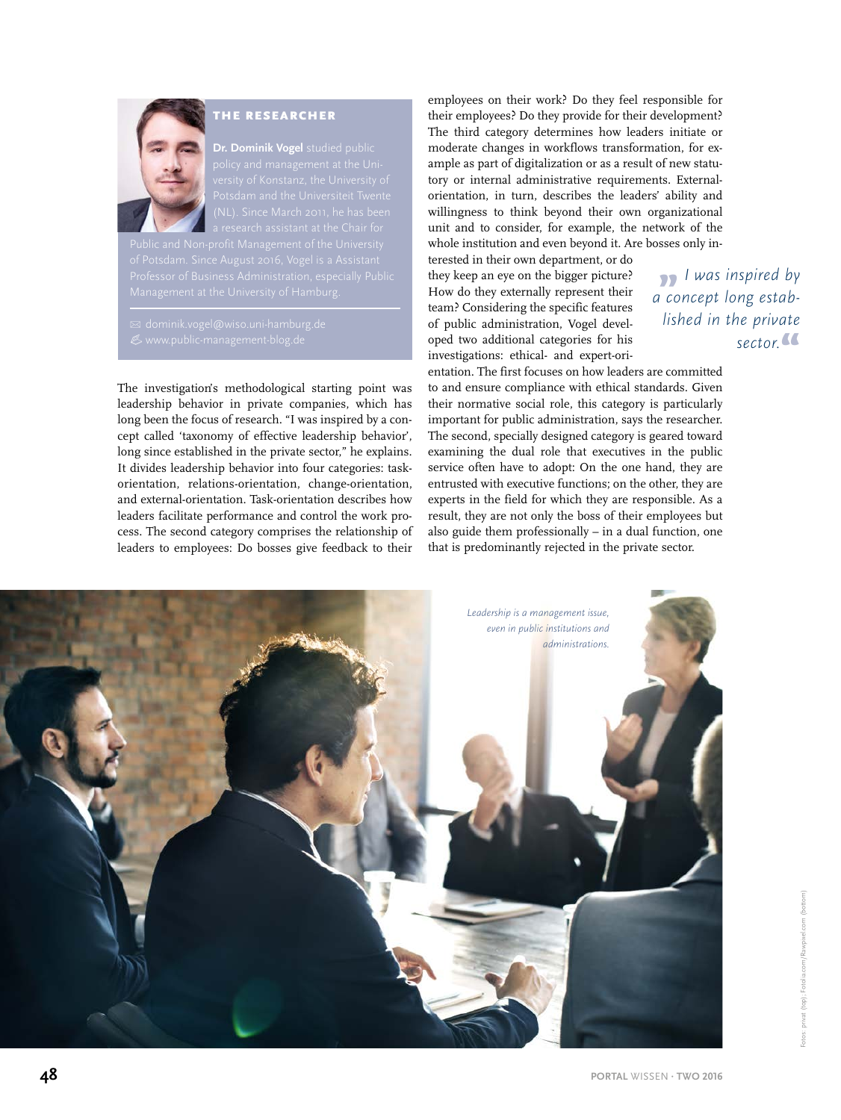

## THE RESEARCHER

**Dr. Dominik Vogel** studied public

The investigation's methodological starting point was leadership behavior in private companies, which has long been the focus of research. "I was inspired by a concept called 'taxonomy of effective leadership behavior', long since established in the private sector," he explains. It divides leadership behavior into four categories: taskorientation, relations-orientation, change-orientation, and external-orientation. Task-orientation describes how leaders facilitate performance and control the work process. The second category comprises the relationship of leaders to employees: Do bosses give feedback to their

employees on their work? Do they feel responsible for their employees? Do they provide for their development? The third category determines how leaders initiate or moderate changes in workflows transformation, for example as part of digitalization or as a result of new statutory or internal administrative requirements. Externalorientation, in turn, describes the leaders' ability and willingness to think beyond their own organizational unit and to consider, for example, the network of the whole institution and even beyond it. Are bosses only in-

terested in their own department, or do they keep an eye on the bigger picture? How do they externally represent their team? Considering the specific features of public administration, Vogel developed two additional categories for his investigations: ethical- and expert-ori-

" *I was inspired by a concept long established in the private*  sector.

entation. The first focuses on how leaders are committed to and ensure compliance with ethical standards. Given their normative social role, this category is particularly important for public administration, says the researcher. The second, specially designed category is geared toward examining the dual role that executives in the public service often have to adopt: On the one hand, they are entrusted with executive functions; on the other, they are experts in the field for which they are responsible. As a result, they are not only the boss of their employees but also guide them professionally – in a dual function, one that is predominantly rejected in the private sector.